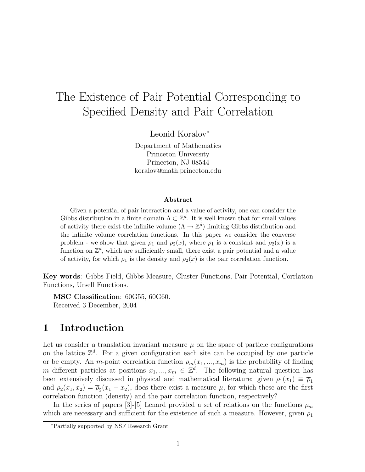# The Existence of Pair Potential Corresponding to Specified Density and Pair Correlation

Leonid Koralov<sup>∗</sup>

Department of Mathematics Princeton University Princeton, NJ 08544 koralov@math.princeton.edu

#### Abstract

Given a potential of pair interaction and a value of activity, one can consider the Gibbs distribution in a finite domain  $\Lambda \subset \mathbb{Z}^d$ . It is well known that for small values of activity there exist the infinite volume  $(\Lambda \to \mathbb{Z}^d)$  limiting Gibbs distribution and the infinite volume correlation functions. In this paper we consider the converse problem - we show that given  $\rho_1$  and  $\rho_2(x)$ , where  $\rho_1$  is a constant and  $\rho_2(x)$  is a function on  $\mathbb{Z}^d$ , which are sufficiently small, there exist a pair potential and a value of activity, for which  $\rho_1$  is the density and  $\rho_2(x)$  is the pair correlation function.

Key words: Gibbs Field, Gibbs Measure, Cluster Functions, Pair Potential, Corrlation Functions, Ursell Functions.

MSC Classification: 60G55, 60G60. Received 3 December, 2004

### 1 Introduction

Let us consider a translation invariant measure  $\mu$  on the space of particle configurations on the lattice  $\mathbb{Z}^d$ . For a given configuration each site can be occupied by one particle or be empty. An m-point correlation function  $\rho_m(x_1, ..., x_m)$  is the probability of finding m different particles at positions  $x_1, ..., x_m \in \mathbb{Z}^d$ . The following natural question has been extensively discussed in physical and mathematical literature: given  $\rho_1(x_1) \equiv \overline{\rho}_1$ and  $\rho_2(x_1, x_2) = \overline{\rho}_2(x_1 - x_2)$ , does there exist a measure  $\mu$ , for which these are the first correlation function (density) and the pair correlation function, respectively?

In the series of papers [3]-[5] Lenard provided a set of relations on the functions  $\rho_m$ which are necessary and sufficient for the existence of such a measure. However, given  $\rho_1$ 

<sup>∗</sup>Partially supported by NSF Research Grant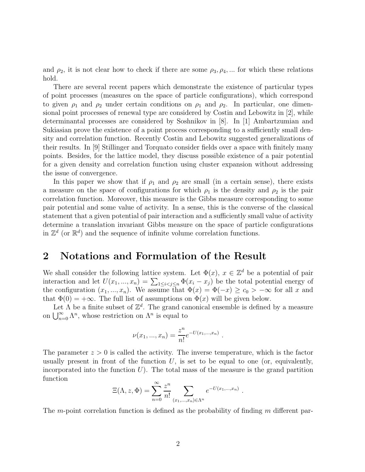and  $\rho_2$ , it is not clear how to check if there are some  $\rho_3, \rho_4, \dots$  for which these relations hold.

There are several recent papers which demonstrate the existence of particular types of point processes (measures on the space of particle configurations), which correspond to given  $\rho_1$  and  $\rho_2$  under certain conditions on  $\rho_1$  and  $\rho_2$ . In particular, one dimensional point processes of renewal type are considered by Costin and Lebowitz in [2], while determinantal processes are considered by Soshnikov in [8]. In [1] Ambartzumian and Sukiasian prove the existence of a point process corresponding to a sufficiently small density and correlation function. Recently Costin and Lebowitz suggested generalizations of their results. In [9] Stillinger and Torquato consider fields over a space with finitely many points. Besides, for the lattice model, they discuss possible existence of a pair potential for a given density and correlation function using cluster expansion without addressing the issue of convergence.

In this paper we show that if  $\rho_1$  and  $\rho_2$  are small (in a certain sense), there exists a measure on the space of configurations for which  $\rho_1$  is the density and  $\rho_2$  is the pair correlation function. Moreover, this measure is the Gibbs measure corresponding to some pair potential and some value of activity. In a sense, this is the converse of the classical statement that a given potential of pair interaction and a sufficiently small value of activity determine a translation invariant Gibbs measure on the space of particle configurations in  $\mathbb{Z}^d$  (or  $\mathbb{R}^d$ ) and the sequence of infinite volume correlation functions.

#### 2 Notations and Formulation of the Result

We shall consider the following lattice system. Let  $\Phi(x)$ ,  $x \in \mathbb{Z}^d$  be a potential of pair interaction and let  $U(x_1, ..., x_n) = \sum_{1 \leq i < j \leq n} \Phi(x_i - x_j)$  be the total potential energy of the configuration  $(x_1, ..., x_n)$ . We assume that  $\Phi(x) = \Phi(-x) \ge c_0 > -\infty$  for all x and that  $\Phi(0) = +\infty$ . The full list of assumptions on  $\Phi(x)$  will be given below.

Let  $\Lambda$  be a finite subset of  $\mathbb{Z}^d$ . The grand canonical ensemble is defined by a measure on  $\bigcup_{n=0}^{\infty} \Lambda^n$ , whose restriction on  $\Lambda^n$  is equal to

$$
\nu(x_1, ..., x_n) = \frac{z^n}{n!} e^{-U(x_1, ..., x_n)}.
$$

The parameter  $z > 0$  is called the activity. The inverse temperature, which is the factor usually present in front of the function  $U$ , is set to be equal to one (or, equivalently, incorporated into the function  $U$ ). The total mass of the measure is the grand partition function

$$
\Xi(\Lambda, z, \Phi) = \sum_{n=0}^{\infty} \frac{z^n}{n!} \sum_{(x_1, ..., x_n) \in \Lambda^n} e^{-U(x_1, ..., x_n)}.
$$

The m-point correlation function is defined as the probability of finding  $m$  different par-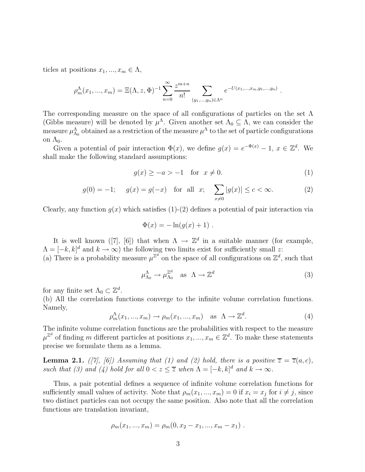ticles at positions  $x_1, ..., x_m \in \Lambda$ ,

$$
\rho_m^{\Lambda}(x_1,...,x_m) = \Xi(\Lambda, z, \Phi)^{-1} \sum_{n=0}^{\infty} \frac{z^{m+n}}{n!} \sum_{(y_1,...,y_n) \in \Lambda^n} e^{-U(x_1,...,x_m,y_1,...,y_n)}.
$$

The corresponding measure on the space of all configurations of particles on the set  $\Lambda$ (Gibbs measure) will be denoted by  $\mu^{\Lambda}$ . Given another set  $\Lambda_0 \subseteq \Lambda$ , we can consider the measure  $\mu_{\Lambda_0}^{\Lambda}$  obtained as a restriction of the measure  $\mu^{\Lambda}$  to the set of particle configurations on  $\Lambda_0$ .

Given a potential of pair interaction  $\Phi(x)$ , we define  $g(x) = e^{-\Phi(x)} - 1$ ,  $x \in \mathbb{Z}^d$ . We shall make the following standard assumptions:

$$
g(x) \ge -a > -1 \quad \text{for } x \neq 0. \tag{1}
$$

$$
g(0) = -1;
$$
  $g(x) = g(-x)$  for all  $x;$   $\sum_{x \neq 0} |g(x)| \leq c < \infty.$  (2)

Clearly, any function  $q(x)$  which satisfies  $(1)-(2)$  defines a potential of pair interaction via

$$
\Phi(x) = -\ln(g(x) + 1) .
$$

It is well known ([7], [6]) that when  $\Lambda \to \mathbb{Z}^d$  in a suitable manner (for example,  $\Lambda = [-k, k]^d$  and  $k \to \infty$ ) the following two limits exist for sufficiently small z:

(a) There is a probability measure  $\mu^{\mathbb{Z}^d}$  on the space of all configurations on  $\mathbb{Z}^d$ , such that

$$
\mu_{\Lambda_0}^{\Lambda} \to \mu_{\Lambda_0}^{\mathbb{Z}^d} \quad \text{as} \quad \Lambda \to \mathbb{Z}^d \tag{3}
$$

for any finite set  $\Lambda_0 \subset \mathbb{Z}^d$ .

(b) All the correlation functions converge to the infinite volume correlation functions. Namely,

$$
\rho_m^{\Lambda}(x_1, ..., x_m) \to \rho_m(x_1, ..., x_m) \quad \text{as} \quad \Lambda \to \mathbb{Z}^d. \tag{4}
$$

The infinite volume correlation functions are the probabilities with respect to the measure  $\mu^{\mathbb{Z}^d}$  of finding m different particles at positions  $x_1, ..., x_m \in \mathbb{Z}^d$ . To make these statements precise we formulate them as a lemma.

**Lemma 2.1.** ([7], [6]) Assuming that (1) and (2) hold, there is a positive  $\overline{z} = \overline{z}(a, c)$ , such that (3) and (4) hold for all  $0 < z \leq \overline{z}$  when  $\Lambda = [-k, k]^d$  and  $k \to \infty$ .

Thus, a pair potential defines a sequence of infinite volume correlation functions for sufficiently small values of activity. Note that  $\rho_m(x_1, ..., x_m) = 0$  if  $x_i = x_j$  for  $i \neq j$ , since two distinct particles can not occupy the same position. Also note that all the correlation functions are translation invariant,

$$
\rho_m(x_1, ..., x_m) = \rho_m(0, x_2 - x_1, ..., x_m - x_1) .
$$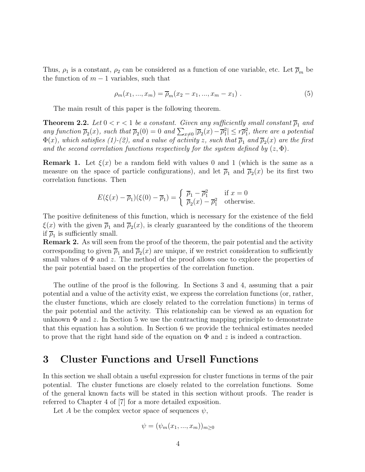Thus,  $\rho_1$  is a constant,  $\rho_2$  can be considered as a function of one variable, etc. Let  $\overline{\rho}_m$  be the function of  $m-1$  variables, such that

$$
\rho_m(x_1, ..., x_m) = \overline{\rho}_m(x_2 - x_1, ..., x_m - x_1) \tag{5}
$$

The main result of this paper is the following theorem.

**Theorem 2.2.** Let  $0 < r < 1$  be a constant. Given any sufficiently small constant  $\overline{\rho}_1$  and any function  $\overline{\rho}_2(x)$ , such that  $\overline{\rho}_2(0) = 0$  and  $\sum_{x\neq 0} |\overline{\rho}_2(x) - \overline{\rho}_1^2| \leq r\overline{\rho}_1^2$ , there are a potential  $\Phi(x)$ , which satisfies (1)-(2), and a value of activity z, such that  $\overline{\rho}_1$  and  $\overline{\rho}_2(x)$  are the first and the second correlation functions respectively for the system defined by  $(z, \Phi)$ .

**Remark 1.** Let  $\xi(x)$  be a random field with values 0 and 1 (which is the same as a measure on the space of particle configurations), and let  $\overline{\rho}_1$  and  $\overline{\rho}_2(x)$  be its first two correlation functions. Then

$$
E(\xi(x) - \overline{\rho}_1)(\xi(0) - \overline{\rho}_1) = \begin{cases} \overline{\rho}_1 - \overline{\rho}_1^2 & \text{if } x = 0\\ \overline{\rho}_2(x) - \overline{\rho}_1^2 & \text{otherwise.} \end{cases}
$$

The positive definiteness of this function, which is necessary for the existence of the field  $\xi(x)$  with the given  $\overline{\rho}_1$  and  $\overline{\rho}_2(x)$ , is clearly guaranteed by the conditions of the theorem if  $\overline{\rho}_1$  is sufficiently small.

**Remark 2.** As will seen from the proof of the theorem, the pair potential and the activity corresponding to given  $\overline{\rho}_1$  and  $\overline{\rho}_2(x)$  are unique, if we restrict consideration to sufficiently small values of  $\Phi$  and z. The method of the proof allows one to explore the properties of the pair potential based on the properties of the correlation function.

The outline of the proof is the following. In Sections 3 and 4, assuming that a pair potential and a value of the activity exist, we express the correlation functions (or, rather, the cluster functions, which are closely related to the correlation functions) in terms of the pair potential and the activity. This relationship can be viewed as an equation for unknown  $\Phi$  and z. In Section 5 we use the contracting mapping principle to demonstrate that this equation has a solution. In Section 6 we provide the technical estimates needed to prove that the right hand side of the equation on  $\Phi$  and z is indeed a contraction.

#### 3 Cluster Functions and Ursell Functions

In this section we shall obtain a useful expression for cluster functions in terms of the pair potential. The cluster functions are closely related to the correlation functions. Some of the general known facts will be stated in this section without proofs. The reader is referred to Chapter 4 of [7] for a more detailed exposition.

Let A be the complex vector space of sequences  $\psi$ ,

$$
\psi = (\psi_m(x_1,...,x_m))_{m \geq 0}
$$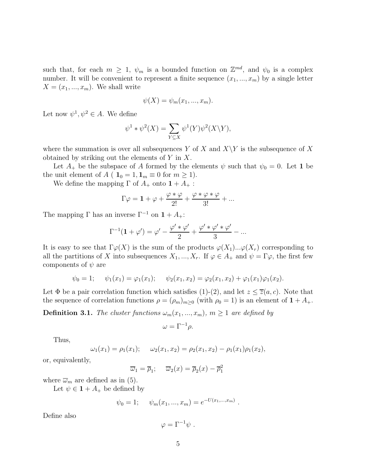such that, for each  $m \geq 1$ ,  $\psi_m$  is a bounded function on  $\mathbb{Z}^{md}$ , and  $\psi_0$  is a complex number. It will be convenient to represent a finite sequence  $(x_1, ..., x_m)$  by a single letter  $X = (x_1, ..., x_m)$ . We shall write

$$
\psi(X) = \psi_m(x_1, \ldots, x_m).
$$

Let now  $\psi^1, \psi^2 \in A$ . We define

$$
\psi^1 * \psi^2(X) = \sum_{Y \subseteq X} \psi^1(Y) \psi^2(X \backslash Y),
$$

where the summation is over all subsequences Y of X and  $X\Y$  is the subsequence of X obtained by striking out the elements of Y in X.

Let  $A_+$  be the subspace of A formed by the elements  $\psi$  such that  $\psi_0 = 0$ . Let 1 be the unit element of  $A$  (  $\mathbf{1}_0 = 1, \mathbf{1}_m \equiv 0$  for  $m \ge 1$ ).

We define the mapping  $\Gamma$  of  $A_+$  onto  $1+A_+$ :

$$
\Gamma\varphi=\mathbf{1}+\varphi+\frac{\varphi\ast\varphi}{2!}+\frac{\varphi\ast\varphi\ast\varphi}{3!}+...
$$

The mapping  $\Gamma$  has an inverse  $\Gamma^{-1}$  on  $1 + A_{+}$ :

$$
\Gamma^{-1}(\mathbf{1} + \varphi') = \varphi' - \frac{\varphi' * \varphi'}{2} + \frac{\varphi' * \varphi' * \varphi'}{3} - \dots
$$

It is easy to see that  $\Gamma \varphi(X)$  is the sum of the products  $\varphi(X_1)...\varphi(X_r)$  corresponding to all the partitions of X into subsequences  $X_1, ..., X_r$ . If  $\varphi \in A_+$  and  $\psi = \Gamma \varphi$ , the first few components of  $\psi$  are

$$
\psi_0 = 1;
$$
  $\psi_1(x_1) = \varphi_1(x_1);$   $\psi_2(x_1, x_2) = \varphi_2(x_1, x_2) + \varphi_1(x_1)\varphi_1(x_2).$ 

Let  $\Phi$  be a pair correlation function which satisfies (1)-(2), and let  $z \le \overline{z}(a, c)$ . Note that the sequence of correlation functions  $\rho = (\rho_m)_{m \geq 0}$  (with  $\rho_0 = 1$ ) is an element of  $1 + A_+$ .

**Definition 3.1.** The cluster functions  $\omega_m(x_1, ..., x_m)$ ,  $m \ge 1$  are defined by

$$
\omega = \Gamma^{-1} \rho.
$$

Thus,

$$
\omega_1(x_1) = \rho_1(x_1);
$$
  $\omega_2(x_1, x_2) = \rho_2(x_1, x_2) - \rho_1(x_1)\rho_1(x_2),$ 

or, equivalently,

$$
\overline{\omega}_1 = \overline{\rho}_1; \quad \overline{\omega}_2(x) = \overline{\rho}_2(x) - \overline{\rho}_1^2
$$

where  $\overline{\omega}_m$  are defined as in (5).

Let  $\psi \in \mathbf{1} + A_+$  be defined by

$$
\psi_0 = 1;
$$
\n $\psi_m(x_1, ..., x_m) = e^{-U(x_1, ..., x_m)}$ 

.

Define also

$$
\varphi = \Gamma^{-1} \psi \; .
$$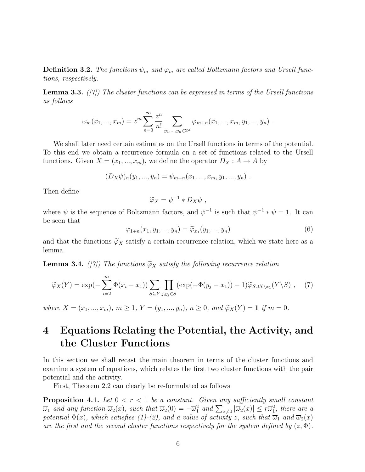**Definition 3.2.** The functions  $\psi_m$  and  $\varphi_m$  are called Boltzmann factors and Ursell functions, respectively.

**Lemma 3.3.** ([7]) The cluster functions can be expressed in terms of the Ursell functions as follows

$$
\omega_m(x_1, ..., x_m) = z^m \sum_{n=0}^{\infty} \frac{z^n}{n!} \sum_{y_1, ..., y_n \in \mathbb{Z}^d} \varphi_{m+n}(x_1, ..., x_m, y_1, ..., y_n) .
$$

We shall later need certain estimates on the Ursell functions in terms of the potential. To this end we obtain a recurrence formula on a set of functions related to the Ursell functions. Given  $X = (x_1, ..., x_m)$ , we define the operator  $D_X : A \to A$  by

$$
(D_X \psi)_n(y_1, ..., y_n) = \psi_{m+n}(x_1, ..., x_m, y_1, ..., y_n) .
$$

Then define

$$
\widetilde{\varphi}_X = \psi^{-1} * D_X \psi \ ,
$$

where  $\psi$  is the sequence of Boltzmann factors, and  $\psi^{-1}$  is such that  $\psi^{-1} * \psi = 1$ . It can be seen that

 $\varphi_{1+n}(x_1, y_1, ..., y_n) = \widetilde{\varphi}_{x_1}(y_1, ..., y_n)$  (6)

and that the functions  $\widetilde{\varphi}_X$  satisfy a certain recurrence relation, which we state here as a lemma.

**Lemma 3.4.** ([7]) The functions  $\widetilde{\varphi}_X$  satisfy the following recurrence relation

$$
\widetilde{\varphi}_X(Y) = \exp(-\sum_{i=2}^m \Phi(x_i - x_1)) \sum_{S \subseteq Y} \prod_{j, y_j \in S} (\exp(-\Phi(y_j - x_1)) - 1) \widetilde{\varphi}_{S \cup X \setminus x_1}(Y \setminus S) , \quad (7)
$$

where  $X = (x_1, ..., x_m)$ ,  $m \ge 1$ ,  $Y = (y_1, ..., y_n)$ ,  $n \ge 0$ , and  $\widetilde{\varphi}_X(Y) = \mathbf{1}$  if  $m = 0$ .

## 4 Equations Relating the Potential, the Activity, and the Cluster Functions

In this section we shall recast the main theorem in terms of the cluster functions and examine a system of equations, which relates the first two cluster functions with the pair potential and the activity.

First, Theorem 2.2 can clearly be re-formulated as follows

**Proposition 4.1.** Let  $0 < r < 1$  be a constant. Given any sufficiently small constant  $\overline{\omega}_1$  and any function  $\overline{\omega}_2(x)$ , such that  $\overline{\omega}_2(0) = -\overline{\omega}_1^2$  and  $\sum_{x\neq 0} |\overline{\omega}_2(x)| \leq r\overline{\omega}_1^2$ , there are a potential  $\Phi(x)$ , which satisfies (1)-(2), and a value of activity z, such that  $\overline{\omega}_1$  and  $\overline{\omega}_2(x)$ are the first and the second cluster functions respectively for the system defined by  $(z, \Phi)$ .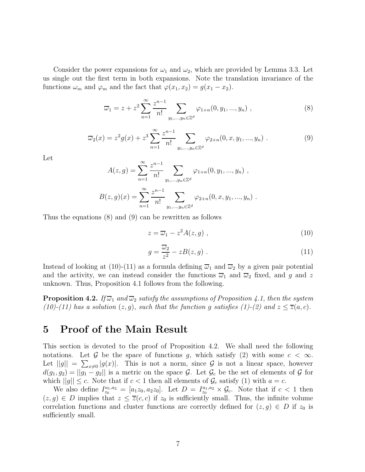Consider the power expansions for  $\omega_1$  and  $\omega_2$ , which are provided by Lemma 3.3. Let us single out the first term in both expansions. Note the translation invariance of the functions  $\omega_m$  and  $\varphi_m$  and the fact that  $\varphi(x_1, x_2) = g(x_1 - x_2)$ .

$$
\overline{\omega}_1 = z + z^2 \sum_{n=1}^{\infty} \frac{z^{n-1}}{n!} \sum_{y_1, \dots, y_n \in \mathbb{Z}^d} \varphi_{1+n}(0, y_1, \dots, y_n) , \qquad (8)
$$

$$
\overline{\omega}_2(x) = z^2 g(x) + z^3 \sum_{n=1}^{\infty} \frac{z^{n-1}}{n!} \sum_{y_1, \dots, y_n \in \mathbb{Z}^d} \varphi_{2+n}(0, x, y_1, \dots, y_n) . \tag{9}
$$

Let

$$
A(z,g) = \sum_{n=1}^{\infty} \frac{z^{n-1}}{n!} \sum_{y_1,\dots,y_n \in \mathbb{Z}^d} \varphi_{1+n}(0, y_1, \dots, y_n) ,
$$
  

$$
B(z,g)(x) = \sum_{n=1}^{\infty} \frac{z^{n-1}}{n!} \sum_{y_1,\dots,y_n \in \mathbb{Z}^d} \varphi_{2+n}(0, x, y_1, \dots, y_n) .
$$

Thus the equations (8) and (9) can be rewritten as follows

$$
z = \overline{\omega}_1 - z^2 A(z, g) \tag{10}
$$

$$
g = \frac{\overline{\omega}_2}{z^2} - zB(z, g) \tag{11}
$$

Instead of looking at (10)-(11) as a formula defining  $\overline{\omega}_1$  and  $\overline{\omega}_2$  by a given pair potential and the activity, we can instead consider the functions  $\overline{\omega}_1$  and  $\overline{\omega}_2$  fixed, and g and z unknown. Thus, Proposition 4.1 follows from the following.

**Proposition 4.2.** If  $\overline{\omega}_1$  and  $\overline{\omega}_2$  satisfy the assumptions of Proposition 4.1, then the system (10)-(11) has a solution  $(z, g)$ , such that the function g satisfies (1)-(2) and  $z \le \overline{z}(a, c)$ .

#### 5 Proof of the Main Result

This section is devoted to the proof of Proposition 4.2. We shall need the following notations. Let G be the space of functions g, which satisfy (2) with some  $c < \infty$ . Let  $||g|| = \sum_{x\neq 0} |g(x)|$ . This is not a norm, since G is not a linear space, however  $d(g_1, g_2) = ||g_1 - g_2||$  is a metric on the space  $\mathcal{G}$ . Let  $\mathcal{G}_c$  be the set of elements of  $\mathcal{G}$  for which  $||g|| \leq c$ . Note that if  $c < 1$  then all elements of  $\mathcal{G}_c$  satisfy (1) with  $a = c$ .

We also define  $I_{z_0}^{a_1, a_2} = [a_1 z_0, a_2 z_0]$ . Let  $D = I_{z_0}^{a_1, a_2} \times \mathcal{G}_c$ . Note that if  $c < 1$  then  $(z, g) \in D$  implies that  $z \le \overline{z}(c, c)$  if  $z_0$  is sufficiently small. Thus, the infinite volume correlation functions and cluster functions are correctly defined for  $(z, g) \in D$  if  $z_0$  is sufficiently small.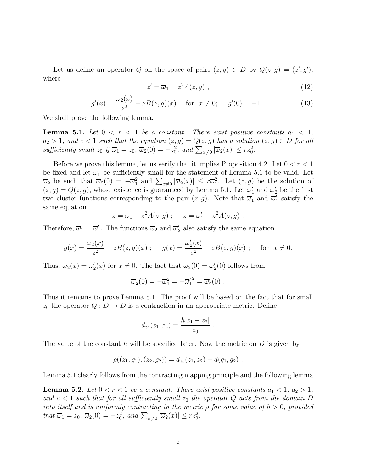Let us define an operator Q on the space of pairs  $(z, g) \in D$  by  $Q(z, g) = (z', g')$ , where

$$
z' = \overline{\omega}_1 - z^2 A(z, g) \tag{12}
$$

$$
g'(x) = \frac{\overline{\omega}_2(x)}{z^2} - zB(z, g)(x) \quad \text{for } x \neq 0; \quad g'(0) = -1. \tag{13}
$$

We shall prove the following lemma.

**Lemma 5.1.** Let  $0 < r < 1$  be a constant. There exist positive constants  $a_1 < 1$ ,  $a_2 > 1$ , and  $c < 1$  such that the equation  $(z, g) = Q(z, g)$  has a solution  $(z, g) \in D$  for all sufficiently small  $z_0$  if  $\overline{\omega}_1 = z_0$ ,  $\overline{\omega}_2(0) = -z_0^2$ , and  $\sum_{x \neq 0} |\overline{\omega}_2(x)| \leq rz_0^2$ .

Before we prove this lemma, let us verify that it implies Proposition 4.2. Let  $0 < r < 1$ be fixed and let  $\overline{\omega}_1$  be sufficiently small for the statement of Lemma 5.1 to be valid. Let  $\overline{\omega}_2$  be such that  $\overline{\omega}_2(0) = -\overline{\omega}_1^2$  and  $\sum_{x\neq 0} |\overline{\omega}_2(x)| \leq r\overline{\omega}_1^2$ . Let  $(z, g)$  be the solution of  $(z, g) = Q(z, g)$ , whose existence is guaranteed by Lemma 5.1. Let  $\overline{\omega}'_1$  and  $\overline{\omega}'_2$  be the first two cluster functions corresponding to the pair  $(z, g)$ . Note that  $\overline{\omega}_1$  and  $\overline{\omega}'_1$  satisfy the same equation

$$
z = \overline{\omega}_1 - z^2 A(z, g) \; ; \quad z = \overline{\omega}'_1 - z^2 A(z, g) \; .
$$

Therefore,  $\overline{\omega}_1 = \overline{\omega}'_1$ . The functions  $\overline{\omega}_2$  and  $\overline{\omega}'_2$  also satisfy the same equation

$$
g(x) = \frac{\overline{\omega}_2(x)}{z^2} - zB(z, g)(x) \; ; \quad g(x) = \frac{\overline{\omega}_2'(x)}{z^2} - zB(z, g)(x) \; ; \quad \text{for } x \neq 0.
$$

Thus,  $\overline{\omega}_2(x) = \overline{\omega}'_2(x)$  for  $x \neq 0$ . The fact that  $\overline{\omega}_2(0) = \overline{\omega}'_2(0)$  follows from

$$
\overline{\omega}_2(0) = -\overline{\omega}_1^2 = -\overline{\omega}_1'^2 = \overline{\omega}_2'(0) .
$$

Thus it remains to prove Lemma 5.1. The proof will be based on the fact that for small  $z_0$  the operator  $Q: D \to D$  is a contraction in an appropriate metric. Define

$$
d_{z_0}(z_1, z_2) = \frac{h|z_1 - z_2|}{z_0}.
$$

The value of the constant  $h$  will be specified later. Now the metric on  $D$  is given by

$$
\rho((z_1,g_1),(z_2,g_2))=d_{z_0}(z_1,z_2)+d(g_1,g_2).
$$

Lemma 5.1 clearly follows from the contracting mapping principle and the following lemma

**Lemma 5.2.** Let  $0 < r < 1$  be a constant. There exist positive constants  $a_1 < 1$ ,  $a_2 > 1$ , and  $c < 1$  such that for all sufficiently small  $z_0$  the operator Q acts from the domain D into itself and is uniformly contracting in the metric  $\rho$  for some value of  $h > 0$ , provided that  $\overline{\omega}_1 = z_0$ ,  $\overline{\omega}_2(0) = -z_0^2$ , and  $\sum_{x\neq 0} |\overline{\omega}_2(x)| \leq rz_0^2$ .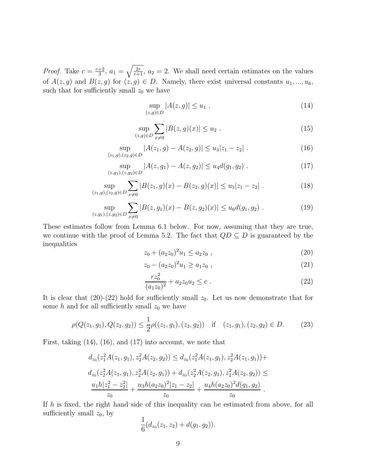*Proof.* Take  $c = \frac{r+2}{3}$  $\frac{+2}{3}$ ,  $a_1 = \sqrt{\frac{2r}{r+1}}$ ,  $a_2 = 2$ . We shall need certain estimates on the values of  $A(z, g)$  and  $B(z, g)$  for  $(z, g) \in D$ . Namely, there exist universal constants  $u_1, ..., u_6$ , such that for sufficiently small  $z_0$  we have

$$
\sup_{(z,g)\in D} |A(z,g)| \le u_1 . \tag{14}
$$

$$
\sup_{(z,g)\in D} \sum_{x\neq 0} |B(z,g)(x)| \le u_2 . \tag{15}
$$

$$
\sup_{(z_1,g),(z_2,g)\in D} |A(z_1,g)-A(z_2,g)| \le u_3 |z_1-z_2| . \tag{16}
$$

$$
\sup_{(z,g_1),(z,g_2)\in D} |A(z,g_1) - A(z,g_2)| \le u_4 d(g_1,g_2).
$$
 (17)

$$
\sup_{(z_1,g),(z_2,g)\in D} \sum_{x\neq 0} |B(z_1,g)(x) - B(z_2,g)(x)| \le u_5 |z_1 - z_2|.
$$
 (18)

$$
\sup_{(z,g_1),(z,g_2)\in D} \sum_{x\neq 0} |B(z,g_1)(x) - B(z,g_2)(x)| \le u_6 d(g_1,g_2).
$$
 (19)

These estimates follow from Lemma 6.1 below. For now, assuming that they are true, we continue with the proof of Lemma 5.2. The fact that  $QD \subseteq D$  is guaranteed by the inequalities

$$
z_0 + (a_2 z_0)^2 u_1 \le a_2 z_0 , \qquad (20)
$$

$$
z_0 - (a_2 z_0)^2 u_1 \ge a_1 z_0 , \qquad (21)
$$

$$
\frac{rz_0^2}{(a_1z_0)^2} + a_2z_0u_2 \le c \tag{22}
$$

It is clear that  $(20)-(22)$  hold for sufficiently small  $z_0$ . Let us now demonstrate that for some  $h$  and for all sufficiently small  $z_0$  we have

$$
\rho(Q(z_1, g_1), Q(z_2, g_2)) \le \frac{1}{2}\rho((z_1, g_1), (z_2, g_2)) \quad \text{if} \quad (z_1, g_1), (z_2, g_2) \in D. \tag{23}
$$

First, taking (14), (16), and (17) into account, we note that

$$
d_{z_0}(z_1^2A(z_1, g_1), z_2^2A(z_2, g_2)) \le d_{z_0}(z_1^2A(z_1, g_1), z_2^2A(z_1, g_1)) +
$$
  
\n
$$
d_{z_0}(z_2^2A(z_1, g_1), z_2^2A(z_2, g_1)) + d_{z_0}(z_2^2A(z_2, g_1), z_2^2A(z_2, g_2)) \le
$$
  
\n
$$
\frac{u_1h|z_1^2 - z_2^2|}{z_0} + \frac{u_3h(a_2z_0)^2|z_1 - z_2|}{z_0} + \frac{u_4h(a_2z_0)^2d(g_1, g_2)}{z_0}.
$$

If h is fixed, the right hand side of this inequality can be estimated from above, for all sufficiently small  $z_0$ , by

$$
\frac{1}{6}(d_{z_0}(z_1,z_2)+d(g_1,g_2)).
$$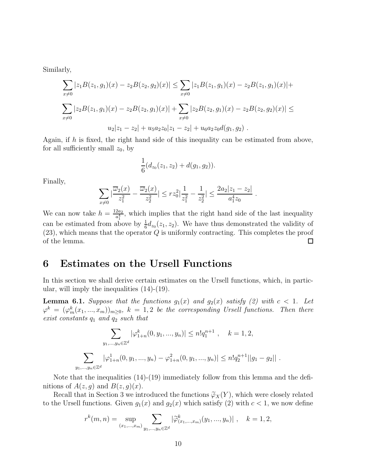Similarly,

$$
\sum_{x \neq 0} |z_1 B(z_1, g_1)(x) - z_2 B(z_2, g_2)(x)| \leq \sum_{x \neq 0} |z_1 B(z_1, g_1)(x) - z_2 B(z_1, g_1)(x)| +
$$
  

$$
\sum_{x \neq 0} |z_2 B(z_1, g_1)(x) - z_2 B(z_2, g_1)(x)| + \sum_{x \neq 0} |z_2 B(z_2, g_1)(x) - z_2 B(z_2, g_2)(x)| \leq
$$
  

$$
u_2 |z_1 - z_2| + u_5 a_2 z_0 |z_1 - z_2| + u_6 a_2 z_0 d(g_1, g_2).
$$

Again, if h is fixed, the right hand side of this inequality can be estimated from above, for all sufficiently small  $z_0$ , by

$$
\frac{1}{6}(d_{z_0}(z_1,z_2)+d(g_1,g_2)).
$$

Finally,

$$
\sum_{x\neq 0} |\frac{\overline{\omega}_2(x)}{z_1^2} - \frac{\overline{\omega}_2(x)}{z_2^2}| \leq rz_0^2 \left|\frac{1}{z_1^2} - \frac{1}{z_2^2}\right| \leq \frac{2a_2|z_1 - z_2|}{a_1^4 z_0}.
$$

We can now take  $h = \frac{12a_2}{a^4}$  $\frac{2a_2}{a_1^4}$ , which implies that the right hand side of the last inequality can be estimated from above by  $\frac{1}{6}d_{z_0}(z_1, z_2)$ . We have thus demonstrated the validity of  $(23)$ , which means that the operator  $Q$  is uniformly contracting. This completes the proof of the lemma.  $\Box$ 

#### 6 Estimates on the Ursell Functions

In this section we shall derive certain estimates on the Ursell functions, which, in particular, will imply the inequalities (14)-(19).

**Lemma 6.1.** Suppose that the functions  $g_1(x)$  and  $g_2(x)$  satisfy (2) with  $c < 1$ . Let  $\varphi^k \,=\, (\varphi_m^k(x_1,...,x_m))_{m\geq 0},\; k \,=\, 1,2$  be the corresponding Ursell functions. Then there exist constants  $q_1$  and  $q_2$  such that

$$
\sum_{y_1,\dots,y_n\in\mathbb{Z}^d} |\varphi_{1+n}^k(0,y_1,\dots,y_n)| \le n! q_1^{n+1}, \quad k=1,2,
$$
  

$$
\sum_{y_1,\dots,y_n\in\mathbb{Z}^d} |\varphi_{1+n}^1(0,y_1,\dots,y_n) - \varphi_{1+n}^2(0,y_1,\dots,y_n)| \le n! q_2^{n+1} ||g_1 - g_2||.
$$

Note that the inequalities (14)-(19) immediately follow from this lemma and the definitions of  $A(z, g)$  and  $B(z, g)(x)$ .

Recall that in Section 3 we introduced the functions  $\widetilde{\varphi}_X(Y)$ , which were closely related to the Ursell functions. Given  $g_1(x)$  and  $g_2(x)$  which satisfy (2) with  $c < 1$ , we now define

$$
r^{k}(m, n) = \sup_{(x_1, ..., x_m)} \sum_{y_1, ..., y_n \in \mathbb{Z}^d} |\widetilde{\varphi}_{(x_1, ..., x_m)}^{k}(y_1, ..., y_n)|, \quad k = 1, 2,
$$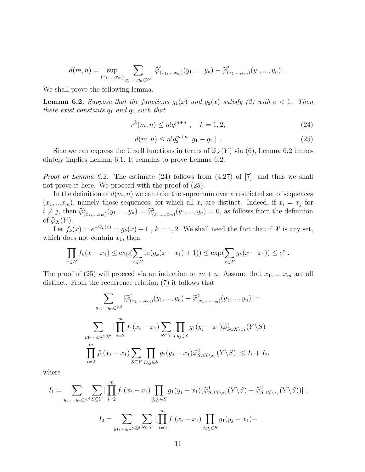$$
d(m,n) = \sup_{(x_1,\ldots,x_m)} \sum_{y_1,\ldots,y_n \in \mathbb{Z}^d} |\tilde{\varphi}_{(x_1,\ldots,x_m)}^1(y_1,\ldots,y_n) - \tilde{\varphi}_{(x_1,\ldots,x_m)}^2(y_1,\ldots,y_n)|.
$$

We shall prove the following lemma.

**Lemma 6.2.** Suppose that the functions  $g_1(x)$  and  $g_2(x)$  satisfy (2) with  $c < 1$ . Then there exist constants  $q_1$  and  $q_2$  such that

$$
r^k(m,n) \le n!q_1^{m+n} \ , \quad k = 1,2,
$$
\n(24)

$$
d(m,n) \le n!q_2^{m+n}||g_1 - g_2||. \tag{25}
$$

Sine we can express the Ursell functions in terms of  $\widetilde{\varphi}_X(Y)$  via (6), Lemma 6.2 immediately implies Lemma 6.1. It remains to prove Lemma 6.2.

Proof of Lemma 6.2. The estimate (24) follows from (4.27) of [7], and thus we shall not prove it here. We proceed with the proof of (25).

In the definition of  $d(m, n)$  we can take the supremum over a restricted set of sequences  $(x_1,...x_m)$ , namely those sequences, for which all  $x_i$  are distinct. Indeed, if  $x_i = x_j$  for  $i \neq j$ , then  $\tilde{\varphi}_{(x_1,...,x_m)}^1(y_1,...,y_n) = \tilde{\varphi}_{(x_1,...,x_m)}^2(y_1,...,y_n) = 0$ , as follows from the definition of  $\widetilde{\varphi}_X(Y)$ .

Let  $f_k(x) = e^{-\Phi_k(x)} = g_k(x) + 1$ ,  $k = 1, 2$ . We shall need the fact that if X is any set, which does not contain  $x_1$ , then

$$
\prod_{x \in \mathcal{X}} f_k(x - x_1) \le \exp\left(\sum_{x \in \mathcal{X}} \ln(g_k(x - x_1) + 1)\right) \le \exp\left(\sum_{x \in \mathcal{X}} g_k(x - x_1)\right) \le e^c.
$$

The proof of (25) will proceed via an induction on  $m + n$ . Assume that  $x_1, ..., x_m$  are all distinct. From the recurrence relation (7) it follows that

$$
\sum_{y_1, \dots, y_n \in \mathbb{Z}^d} |\tilde{\varphi}_{(x_1, \dots, x_m)}^1(y_1, \dots, y_n) - \tilde{\varphi}_{(x_1, \dots, x_m)}^2(y_1, \dots, y_n)| =
$$
\n
$$
\sum_{y_1, \dots, y_n \in \mathbb{Z}^d} |\prod_{i=2}^m f_1(x_i - x_1) \sum_{S \subseteq Y} \prod_{j, y_j \in S} g_1(y_j - x_1) \tilde{\varphi}_{S \cup X \setminus x_1}^1(Y \setminus S) -
$$
\n
$$
\prod_{i=2}^m f_2(x_i - x_1) \sum_{S \subseteq Y} \prod_{j, y_j \in S} g_2(y_j - x_1) \tilde{\varphi}_{S \cup X \setminus x_1}^2(Y \setminus S) | \le I_1 + I_2,
$$

where

 $\overline{m}$ 

$$
I_{1} = \sum_{y_{1},...,y_{n} \in \mathbb{Z}^{d}} \sum_{S \subseteq Y} |\prod_{i=2} f_{1}(x_{i} - x_{1}) \prod_{j,y_{j} \in S} g_{1}(y_{j} - x_{1})(\widetilde{\varphi}_{S \cup X \setminus x_{1}}^{1}(Y \setminus S) - \widetilde{\varphi}_{S \cup X \setminus x_{1}}^{2}(Y \setminus S))|,
$$
  

$$
I_{2} = \sum_{y_{1},...,y_{n} \in \mathbb{Z}^{d}} \sum_{S \subseteq Y} |[\prod_{i=2}^{m} f_{1}(x_{i} - x_{1}) \prod_{j,y_{j} \in S} g_{1}(y_{j} - x_{1}) -
$$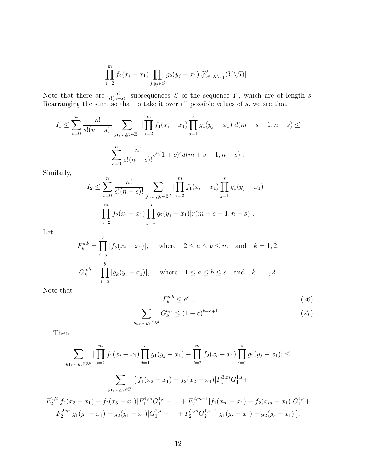$$
\prod_{i=2}^m f_2(x_i - x_1) \prod_{j,y_j \in S} g_2(y_j - x_1) \widetilde{\varphi}_{S \cup X \setminus x_1}^2(Y \setminus S) \, .
$$

Note that there are  $\frac{n!}{s!(n-s)!}$  subsequences S of the sequence Y, which are of length s. Rearranging the sum, so that to take it over all possible values of s, we see that

$$
I_1 \leq \sum_{s=0}^n \frac{n!}{s!(n-s)!} \sum_{y_1,\dots,y_s \in \mathbb{Z}^d} |\prod_{i=2}^m f_1(x_i - x_1) \prod_{j=1}^s g_1(y_j - x_1)| d(m+s-1, n-s) \leq
$$
  

$$
\sum_{s=0}^n \frac{n!}{s!(n-s)!} e^c (1+c)^s d(m+s-1, n-s) .
$$

Similarly,

$$
I_2 \leq \sum_{s=0}^n \frac{n!}{s!(n-s)!} \sum_{y_1,\dots,y_s \in \mathbb{Z}^d} |\prod_{i=2}^m f_1(x_i - x_1) \prod_{j=1}^s g_1(y_j - x_1) - \prod_{i=2}^m f_2(x_i - x_1) \prod_{j=1}^s g_2(y_j - x_1) | r(m+s-1, n-s) .
$$

Let

$$
F_k^{a,b} = \prod_{i=a}^b |f_k(x_i - x_1)|, \text{ where } 2 \le a \le b \le m \text{ and } k = 1, 2,
$$
  

$$
G_k^{a,b} = \prod_{i=a}^b |g_k(y_i - x_1)|, \text{ where } 1 \le a \le b \le s \text{ and } k = 1, 2.
$$

Note that

$$
F_k^{a,b} \le e^c \t\t(26)
$$

$$
\sum_{y_a,\dots,y_b \in \mathbb{Z}^d} G_k^{a,b} \le (1+c)^{b-a+1} \tag{27}
$$

Then,

2

$$
\sum_{y_1,\dots,y_s \in \mathbb{Z}^d} |\prod_{i=2}^m f_1(x_i - x_1) \prod_{j=1}^s g_1(y_j - x_1) - \prod_{i=2}^m f_2(x_i - x_1) \prod_{j=1}^s g_2(y_j - x_1)| \le
$$

$$
\sum_{y_1,\dots,y_s \in \mathbb{Z}^d} [|f_1(x_2 - x_1) - f_2(x_2 - x_1)| F_1^{3,m} G_1^{1,s} +
$$

$$
F_2^{2,2} |f_1(x_3 - x_1) - f_2(x_3 - x_1)| F_1^{4,m} G_1^{1,s} + \dots + F_2^{2,m-1} |f_1(x_m - x_1) - f_2(x_m - x_1)| G_1^{1,s} +
$$

$$
F_2^{2,m} |g_1(y_1 - x_1) - g_2(y_1 - x_1)| G_1^{2,s} + \dots + F_2^{2,m} G_2^{1,s-1} |g_1(y_s - x_1) - g_2(y_s - x_1)|].
$$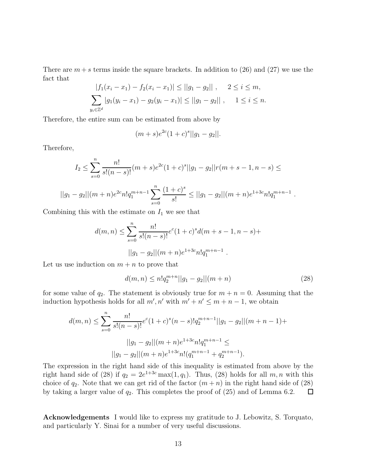There are  $m + s$  terms inside the square brackets. In addition to (26) and (27) we use the fact that

$$
|f_1(x_i - x_1) - f_2(x_i - x_1)| \le ||g_1 - g_2||, \quad 2 \le i \le m,
$$
  

$$
\sum_{y_i \in \mathbb{Z}^d} |g_1(y_i - x_1) - g_2(y_i - x_1)| \le ||g_1 - g_2||, \quad 1 \le i \le n.
$$

Therefore, the entire sum can be estimated from above by

$$
(m+s)e^{2c}(1+c)^{s}||g_1-g_2||.
$$

Therefore,

$$
I_2 \le \sum_{s=0}^n \frac{n!}{s!(n-s)!} (m+s)e^{2c}(1+c)^s ||g_1 - g_2||r(m+s-1, n-s) \le
$$
  
 
$$
||g_1 - g_2||(m+n)e^{2c}n!q_1^{m+n-1} \sum_{s=0}^n \frac{(1+c)^s}{s!} \le ||g_1 - g_2||(m+n)e^{1+3c}n!q_1^{m+n-1}.
$$

Combining this with the estimate on  $I_1$  we see that

$$
d(m, n) \le \sum_{s=0}^{n} \frac{n!}{s!(n-s)!} e^{c} (1+c)^{s} d(m+s-1, n-s) +
$$
  
 
$$
||g_1 - g_2||(m+n)e^{1+3c} n! q_1^{m+n-1} .
$$

Let us use induction on  $m + n$  to prove that

$$
d(m,n) \le n!q_2^{m+n}||g_1 - g_2||(m+n)
$$
\n(28)

for some value of  $q_2$ . The statement is obviously true for  $m + n = 0$ . Assuming that the induction hypothesis holds for all  $m', n'$  with  $m' + n' \leq m + n - 1$ , we obtain

$$
d(m,n) \le \sum_{s=0}^{n} \frac{n!}{s!(n-s)!} e^c (1+c)^s (n-s)! q_2^{m+n-1} ||g_1 - g_2|| (m+n-1) +
$$
  

$$
||g_1 - g_2|| (m+n) e^{1+3c} n! q_1^{m+n-1} \le
$$
  

$$
||g_1 - g_2|| (m+n) e^{1+3c} n! (q_1^{m+n-1} + q_2^{m+n-1}).
$$

The expression in the right hand side of this inequality is estimated from above by the right hand side of (28) if  $q_2 = 2e^{1+3c} \max(1, q_1)$ . Thus, (28) holds for all  $m, n$  with this choice of  $q_2$ . Note that we can get rid of the factor  $(m+n)$  in the right hand side of (28) by taking a larger value of  $q_2$ . This completes the proof of  $(25)$  and of Lemma 6.2.  $\Box$ 

Acknowledgements I would like to express my gratitude to J. Lebowitz, S. Torquato, and particularly Y. Sinai for a number of very useful discussions.